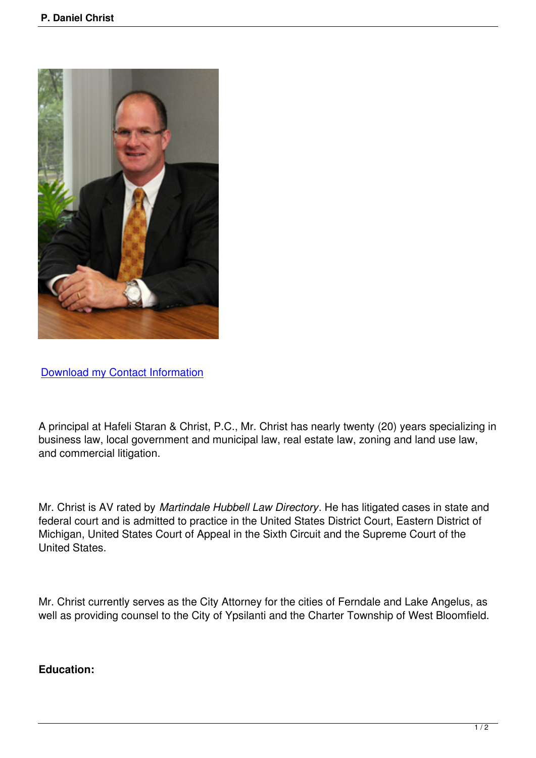

Download my Contact Information

[A principal at Hafeli Staran & Chris](index.php?option=com_contact&view=contact&catid=3&id=4)t, P.C., Mr. Christ has nearly twenty (20) years specializing in business law, local government and municipal law, real estate law, zoning and land use law, and commercial litigation.

Mr. Christ is AV rated by *Martindale Hubbell Law Directory*. He has litigated cases in state and federal court and is admitted to practice in the United States District Court, Eastern District of Michigan, United States Court of Appeal in the Sixth Circuit and the Supreme Court of the United States.

Mr. Christ currently serves as the City Attorney for the cities of Ferndale and Lake Angelus, as well as providing counsel to the City of Ypsilanti and the Charter Township of West Bloomfield.

## **Education:**